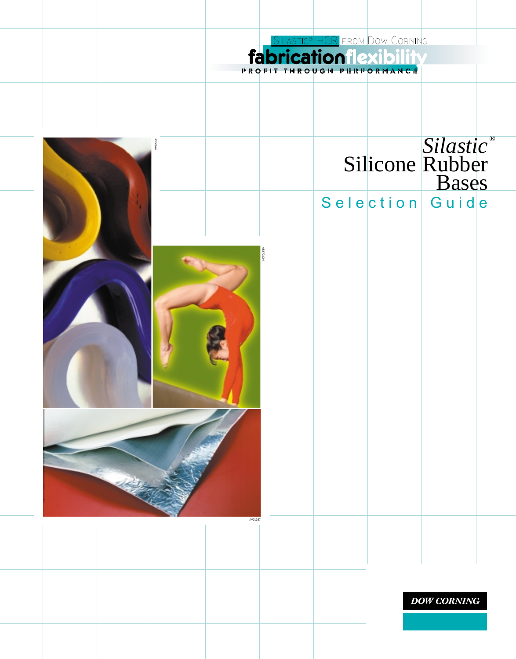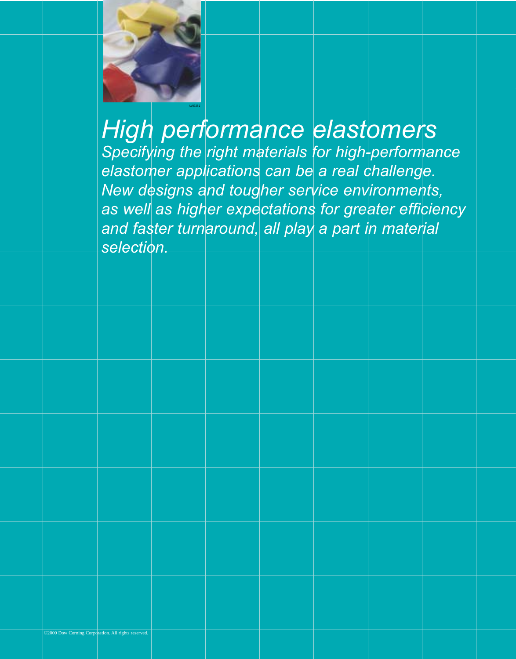

# *High performance elastomers*

**Specifying the right materials for high-performance** *elastomer applications can be a real challenge. New designs and tougher service environments, as well as higher expectations for greater efficiency and faster turnaround, all play a part in material selection.*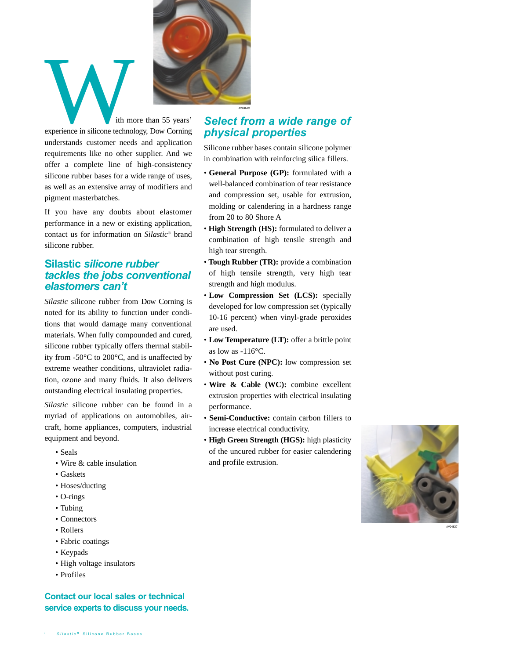

If you have any doubts about elastomer performance in a new or existing application, contact us for information on *Silastic* ® brand silicone rubber.

# **Silastic** *silicone rubber tackles the jobs conventional elastomers can't*

*Silastic* silicone rubber from Dow Corning is noted for its ability to function under conditions that would damage many conventional materials. When fully compounded and cured, silicone rubber typically offers thermal stability from -50°C to 200°C, and is unaffected by extreme weather conditions, ultraviolet radiation, ozone and many fluids. It also delivers outstanding electrical insulating properties.

*Silastic* silicone rubber can be found in a myriad of applications on automobiles, aircraft, home appliances, computers, industrial equipment and beyond.

- Seals
- Wire & cable insulation
- Gaskets
- Hoses/ducting
- O-rings
- Tubing
- Connectors
- Rollers
- Fabric coatings
- Keypads
- High voltage insulators
- Profiles

## **Contact our local sales or technical service experts to discuss your needs.**

# *Select from a wide range of physical properties*

Silicone rubber bases contain silicone polymer in combination with reinforcing silica fillers. • **General Purpose (GP):** formulated with a

- well-balanced combination of tear resistance and compression set, usable for extrusion, molding or calendering in a hardness range from 20 to 80 Shore A
- **High Strength (HS):** formulated to deliver a combination of high tensile strength and high tear strength.
- **Tough Rubber (TR):** provide a combination of high tensile strength, very high tear strength and high modulus.
- **Low Compression Set (LCS):** specially developed for low compression set (typically 10-16 percent) when vinyl-grade peroxides are used.
- **Low Temperature (LT):** offer a brittle point as low as -116°C.
- **No Post Cure (NPC):** low compression set without post curing.
- **Wire & Cable (WC):** combine excellent extrusion properties with electrical insulating performance.
- **Semi-Conductive:** contain carbon fillers to increase electrical conductivity.
- **High Green Strength (HGS):** high plasticity of the uncured rubber for easier calendering and profile extrusion.



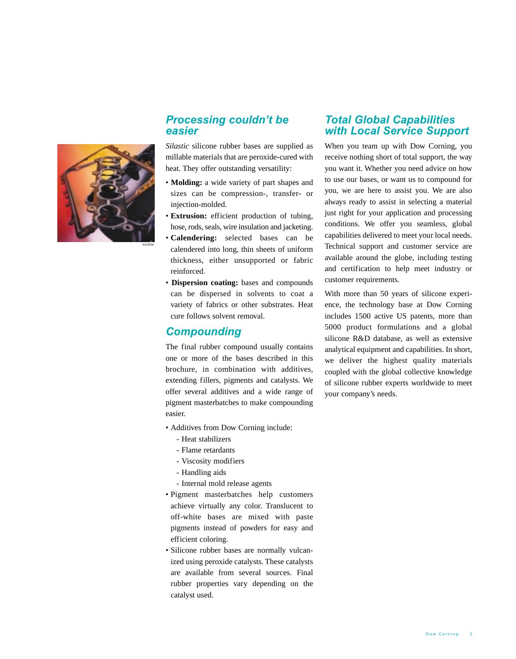

AV03636

# *Processing couldn't be easier*

*Silastic* silicone rubber bases are supplied as millable materials that are peroxide-cured with heat. They offer outstanding versatility:

- **Molding:** a wide variety of part shapes and sizes can be compression-, transfer- or injection-molded.
- **Extrusion:** efficient production of tubing, hose, rods, seals, wire insulation and jacketing.
- **Calendering:** selected bases can be calendered into long, thin sheets of uniform thickness, either unsupported or fabric reinforced.
- **Dispersion coating:** bases and compounds can be dispersed in solvents to coat a variety of fabrics or other substrates. Heat cure follows solvent removal.

# *Compounding*

The final rubber compound usually contains one or more of the bases described in this brochure, in combination with additives, extending fillers, pigments and catalysts. We offer several additives and a wide range of pigment masterbatches to make compounding easier.

- Additives from Dow Corning include:
	- Heat stabilizers
	- Flame retardants
	- Viscosity modifiers
	- Handling aids
	- Internal mold release agents
- Pigment masterbatches help customers achieve virtually any color. Translucent to off-white bases are mixed with paste pigments instead of powders for easy and efficient coloring.
- Silicone rubber bases are normally vulcanized using peroxide catalysts. These catalysts are available from several sources. Final rubber properties vary depending on the catalyst used.

# *Total Global Capabilities with Local Service Support*

When you team up with Dow Corning, you receive nothing short of total support, the way you want it. Whether you need advice on how to use our bases, or want us to compound for you, we are here to assist you. We are also always ready to assist in selecting a material just right for your application and processing conditions. We offer you seamless, global capabilities delivered to meet your local needs. Technical support and customer service are available around the globe, including testing and certification to help meet industry or customer requirements.

With more than 50 years of silicone experience, the technology base at Dow Corning includes 1500 active US patents, more than 5000 product formulations and a global silicone R&D database, as well as extensive analytical equipment and capabilities. In short, we deliver the highest quality materials coupled with the global collective knowledge of silicone rubber experts worldwide to meet your company's needs.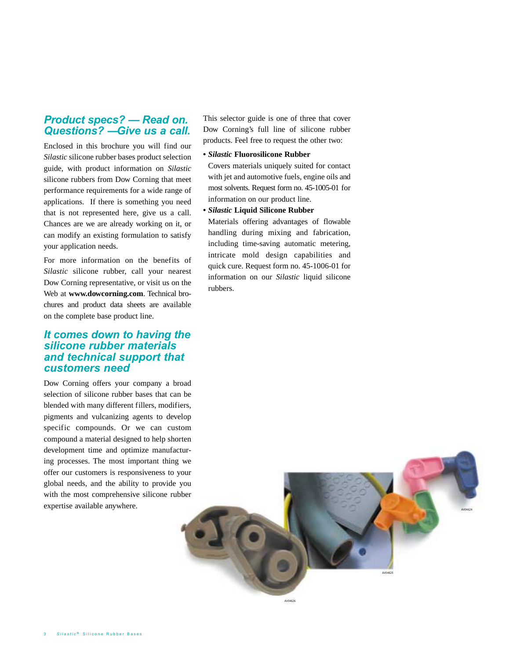# *Product specs? — Read on. Questions? — Give us a call.*

Enclosed in this brochure you will find our *Silastic* silicone rubber bases product selection guide, with product information on *Silastic* silicone rubbers from Dow Corning that meet performance requirements for a wide range of applications. If there is something you need that is not represented here, give us a call. Chances are we are already working on it, or can modify an existing formulation to satisfy your application needs.

For more information on the benefits of *Silastic* silicone rubber, call your nearest Dow Corning representative, or visit us on the Web at **www.dowcorning.com**. Technical brochures and product data sheets are available on the complete base product line.

# *It comes down to having the silicone rubber materials and technical support that customers need*

Dow Corning offers your company a broad selection of silicone rubber bases that can be blended with many different fillers, modifiers, pigments and vulcanizing agents to develop specific compounds. Or we can custom compound a material designed to help shorten development time and optimize manufacturing processes. The most important thing we offer our customers is responsiveness to your global needs, and the ability to provide you with the most comprehensive silicone rubber expertise available anywhere.

This selector guide is one of three that cover Dow Corning's full line of silicone rubber products. Feel free to request the other two:

**•** *Silastic* **Fluorosilicone Rubber**

Covers materials uniquely suited for contact with jet and automotive fuels, engine oils and most solvents. Request form no. 45-1005-01 for information on our product line.

**•** *Silastic* **Liquid Silicone Rubber**

Materials offering advantages of flowable handling during mixing and fabrication, including time-saving automatic metering, intricate mold design capabilities and quick cure. Request form no. 45-1006-01 for information on our *Silastic* liquid silicone rubbers.

AV04626

AV04625

AV04624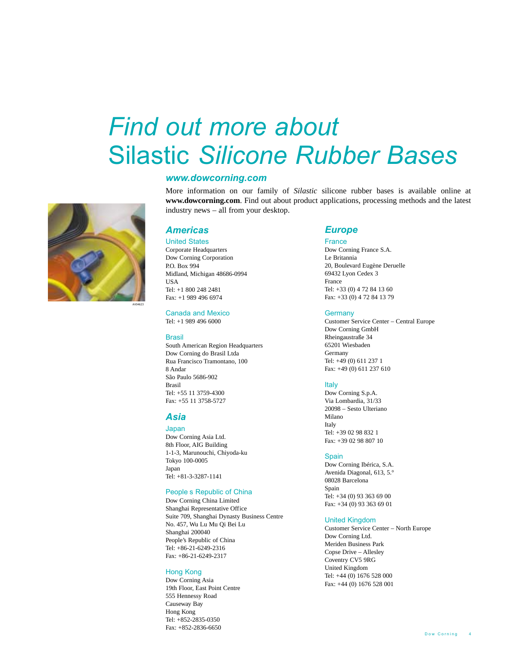# *Find out more about*  Silastic *Silicone Rubber Bases*

## *www.dowcorning.com*

More information on our family of *Silastic* silicone rubber bases is available online at **www.dowcorning.com**. Find out about product applications, processing methods and the latest industry news – all from your desktop.

## *Americas*

United States Corporate Headquarters Dow Corning Corporation P.O. Box 994 Midland, Michigan 48686-0994 USA Tel: +1 800 248 2481 Fax: +1 989 496 6974

Canada and Mexico Tel: +1 989 496 6000

## **Brasil**

South American Region Headquarters Dow Corning do Brasil Ltda Rua Francisco Tramontano, 100 8 Andar São Paulo 5686-902 Brasil Tel: +55 11 3759-4300 Fax: +55 11 3758-5727

## *Asia*

Japan Dow Corning Asia Ltd. 8th Floor, AIG Building 1-1-3, Marunouchi, Chiyoda-ku Tokyo 100-0005 Japan Tel: +81-3-3287-1141

## People s Republic of China

Dow Corning China Limited Shanghai Representative Office Suite 709, Shanghai Dynasty Business Centre No. 457, Wu Lu Mu Qi Bei Lu Shanghai 200040 People's Republic of China Tel: +86-21-6249-2316 Fax: +86-21-6249-2317

#### Hong Kong

Dow Corning Asia 19th Floor, East Point Centre 555 Hennessy Road Causeway Bay Hong Kong Tel: +852-2835-0350 Fax: +852-2836-6650

### *Europe*

#### France

Dow Corning France S.A. Le Britannia 20, Boulevard Eugène Deruelle 69432 Lyon Cedex 3 France Tel: +33 (0) 4 72 84 13 60 Fax: +33 (0) 4 72 84 13 79

#### **Germany**

Customer Service Center – Central Europe Dow Corning GmbH Rheingaustraße 34 65201 Wiesbaden Germany Tel: +49 (0) 611 237 1 Fax: +49 (0) 611 237 610

### Italy

Dow Corning S.p.A. Via Lombardia, 31/33 20098 – Sesto Ulteriano Milano Italy Tel: +39 02 98 832 1 Fax: +39 02 98 807 10

#### Spain

Dow Corning Ibérica, S.A. Avenida Diagonal, 613, 5.° 08028 Barcelona Spain Tel: +34 (0) 93 363 69 00 Fax: +34 (0) 93 363 69 01

### United Kingdom

Customer Service Center – North Europe Dow Corning Ltd. Meriden Business Park Copse Drive – Allesley Coventry CV5 9RG United Kingdom Tel: +44 (0) 1676 528 000 Fax: +44 (0) 1676 528 001